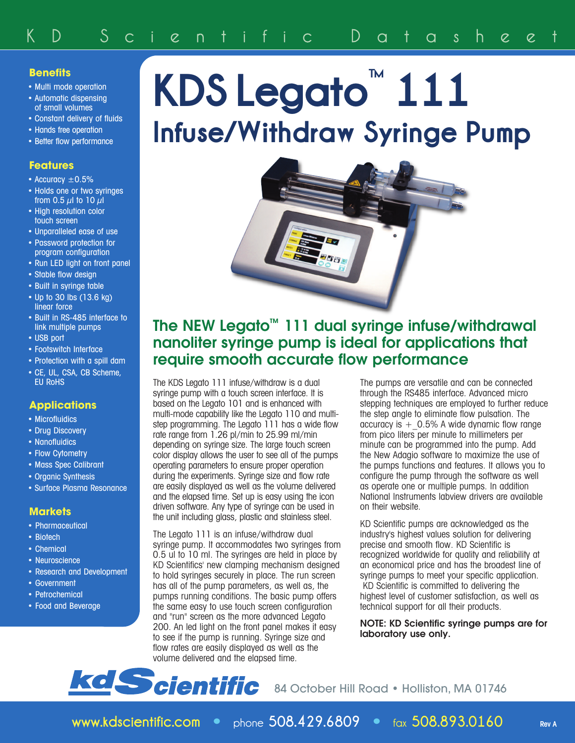## **Benefits**

- Multi mode operation
- Automatic dispensing of small volumes
- Constant delivery of fluids
- Hands free operation
- Better flow performance

## **Features**

- Accuracy  $\pm 0.5\%$
- Holds one or two syringes from 0.5  $\mu$ l to 10  $\mu$ l
- High resolution color touch screen
- Unparalleled ease of use
- Password protection for program configuration
- Run LED light on front panel
- Stable flow design
- Built in syringe table
- Up to 30 lbs (13.6 kg) linear force
- Built in RS-485 interface to link multiple pumps
- USB port
- Footswitch Interface
- Protection with a spill dam
- CE, UL, CSA, CB Scheme, EU RoHS

## **Applications**

- Microfluidics
- Drug Discovery
- Nanofluidics
- Flow Cytometry
- Mass Spec Calibrant
- Organic Synthesis
- Surface Plasma Resonance

### **Markets**

- Pharmaceutical
- Biotech
- Chemical
- Neuroscience
- Research and Development
- Government
- Petrochemical
- Food and Beverage

# **KDS Legato ™ 111 Infuse/Withdraw Syringe Pump**



## **The NEW Legato™ 111 dual syringe infuse/withdrawal nanoliter syringe pump is ideal for applications that require smooth accurate flow performance**

The KDS Legato 111 infuse/withdraw is a dual syringe pump with a touch screen interface. It is based on the Legato 101 and is enhanced with multi-mode capability like the Legato 110 and multistep programming. The Legato 111 has a wide flow rate range from 1.26 pl/min to 25.99 ml/min depending on syringe size. The large touch screen color display allows the user to see all of the pumps operating parameters to ensure proper operation during the experiments. Syringe size and flow rate are easily displayed as well as the volume delivered and the elapsed time. Set up is easy using the icon driven software. Any type of syringe can be used in the unit including glass, plastic and stainless steel.

The Legato 111 is an infuse/withdraw dual syringe pump. It accommodates two syringes from 0.5 ul to 10 ml. The syringes are held in place by KD Scientifics' new clamping mechanism designed to hold syringes securely in place. The run screen has all of the pump parameters, as well as, the pumps running conditions. The basic pump offers the same easy to use touch screen configuration and "run" screen as the more advanced Legato 200. An led light on the front panel makes it easy to see if the pump is running. Syringe size and flow rates are easily displayed as well as the volume delivered and the elapsed time.

The pumps are versatile and can be connected through the RS485 interface. Advanced micro stepping techniques are employed to further reduce the step angle to eliminate flow pulsation. The accuracy is  $+$  0.5% A wide dynamic flow range from pico liters per minute to millimeters per minute can be programmed into the pump. Add the New Adagio software to maximize the use of the pumps functions and features. It allows you to configure the pump through the software as well as operate one or multiple pumps. In addition National Instruments labview drivers are available on their website.

KD Scientific pumps are acknowledged as the industry's highest values solution for delivering precise and smooth flow. KD Scientific is recognized worldwide for quality and reliability at an economical price and has the broadest line of syringe pumps to meet your specific application. KD Scientific is committed to delivering the highest level of customer satisfaction, as well as technical support for all their products.

#### **NOTE: KD Scientific syringe pumps are for laboratory use only.**

**kd Scientific** 84 October Hill Road · Holliston, MA 01746